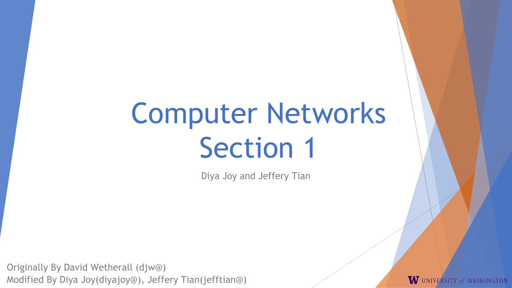# Computer Networks Section 1

Diya Joy and Jeffery Tian

Originally By David Wetherall (djw@) Modified By Diya Joy(diyajoy@), Jeffery Tian(jefftian@)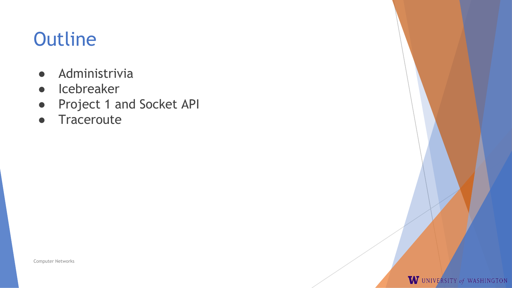## **Outline**

- Administrivia
- Icebreaker
- Project 1 and Socket API
- Traceroute

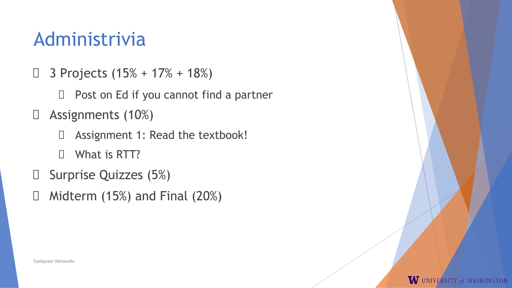### Administrivia

- $\Box$  3 Projects (15% + 17% + 18%)
	- $\Box$  Post on Ed if you cannot find a partner
- $\Box$  Assignments (10%)
	- Assignment 1: Read the textbook!
	- What is RTT?
- $\Box$  Surprise Quizzes (5%)
- $\Box$  Midterm (15%) and Final (20%)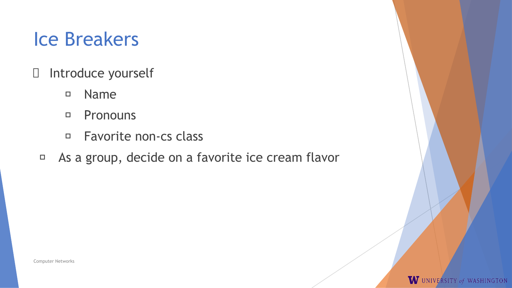### Ice Breakers

- Introduce yourself
	- Name
	- Pronouns
	- □ Favorite non-cs class
	- As a group, decide on a favorite ice cream flavor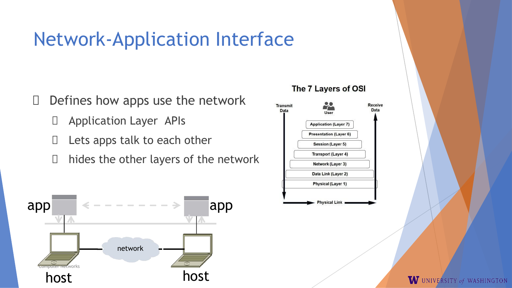### Network-Application Interface

- $\Box$  Defines how apps use the network
	- Application Layer APIs
	- $\Box$  Lets apps talk to each other
	- $\Box$  hides the other layers of the network



#### The 7 Layers of OSI

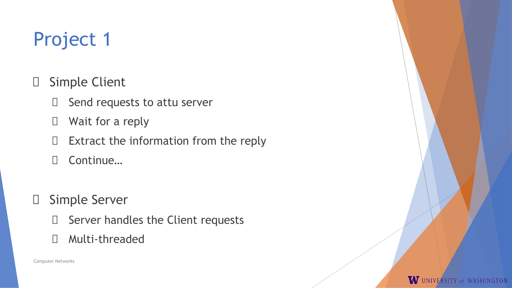### Project 1

- Simple Client
	- $\Box$  Send requests to attu server
	- Wait for a reply
	- $\Box$  Extract the information from the reply
	- □ Continue…
- □ Simple Server
	- $\Box$  Server handles the Client requests
	- Multi-threaded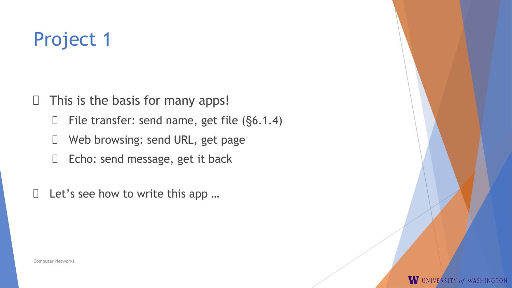### Project 1

 $\Box$  This is the basis for many apps!

 $\Box$  File transfer: send name, get file (§6.1.4)

- □ Web browsing: send URL, get page
- Echo: send message, get it back

 $\Box$  Let's see how to write this app ...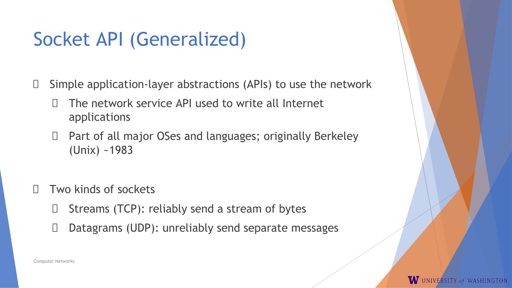### Socket API (Generalized)

 $\Box$  Simple application-layer abstractions (APIs) to use the network

- The network service API used to write all Internet applications
- $\Box$  Part of all major OSes and languages; originally Berkeley (Unix) ~1983
- Two kinds of sockets
	- $\Box$  Streams (TCP): reliably send a stream of bytes
	- $\Box$  Datagrams (UDP): unreliably send separate messages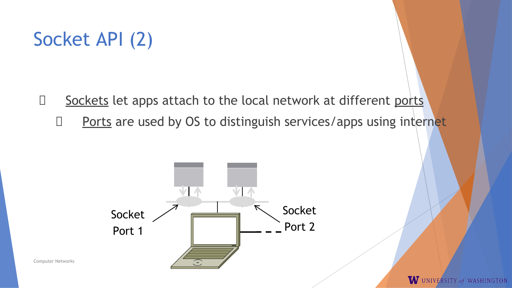### Socket API (2)

- $\Box$  Sockets let apps attach to the local network at different ports
	- $\Box$  Ports are used by OS to distinguish services/apps using internet

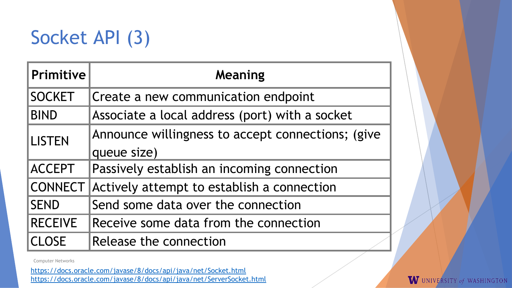### Socket API (3)

| <b>Primitive</b> | Meaning                                           |  |
|------------------|---------------------------------------------------|--|
| <b>SOCKET</b>    | Create a new communication endpoint               |  |
| <b>BIND</b>      | Associate a local address (port) with a socket    |  |
| <b>LISTEN</b>    | Announce willingness to accept connections; (give |  |
|                  | queue size)                                       |  |
| <b>ACCEPT</b>    | Passively establish an incoming connection        |  |
| <b>CONNECT</b>   | Actively attempt to establish a connection        |  |
| <b>SEND</b>      | Send some data over the connection                |  |
| <b>RECEIVE</b>   | Receive some data from the connection             |  |
| <b>CLOSE</b>     | Release the connection                            |  |

Computer Networks

https://docs.oracle.com/javase/8/docs/api/java/net/Socket.html https://docs.oracle.com/javase/8/docs/api/java/net/ServerSocket.html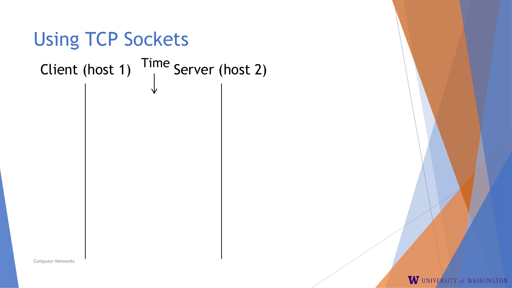

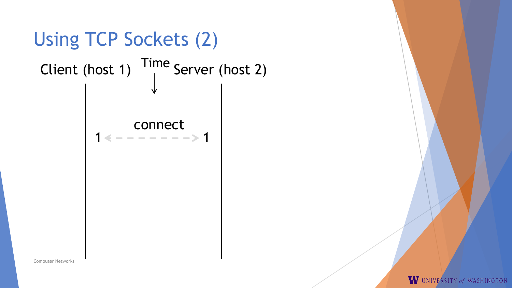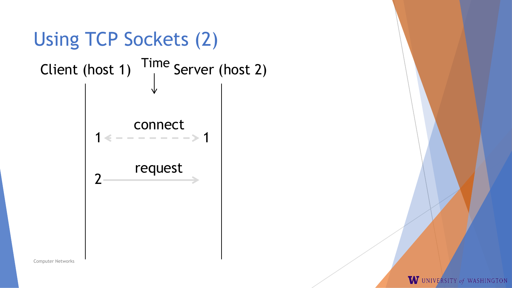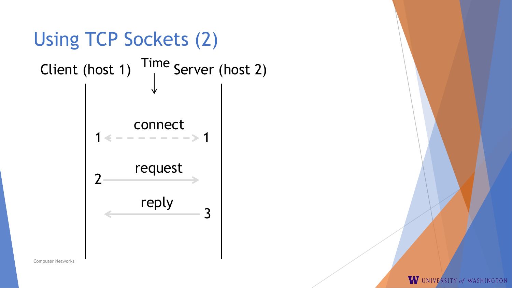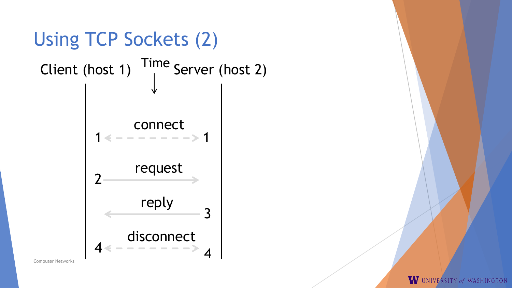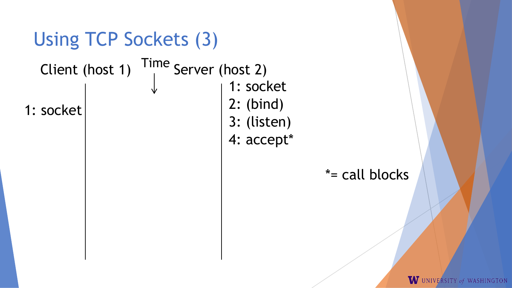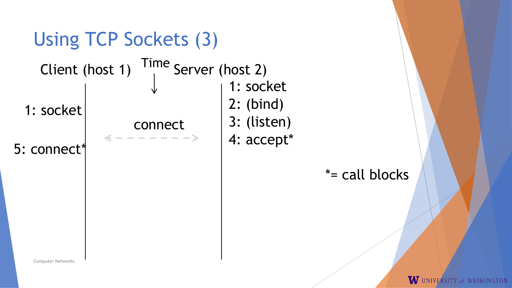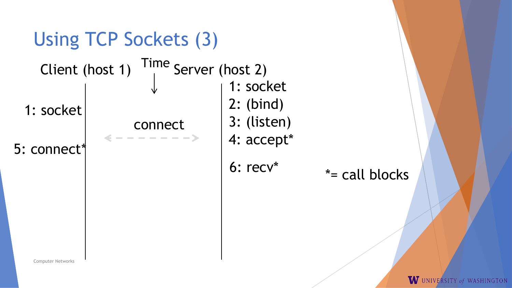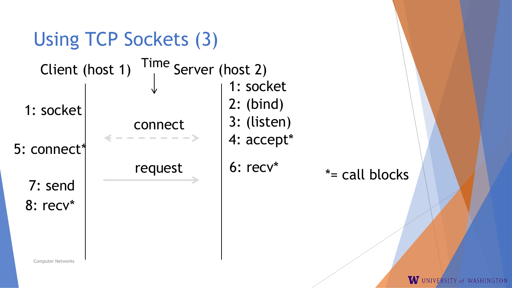![](_page_18_Figure_0.jpeg)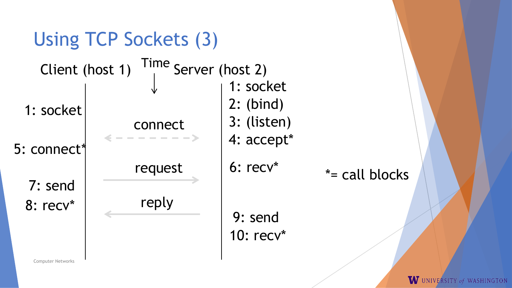![](_page_19_Figure_0.jpeg)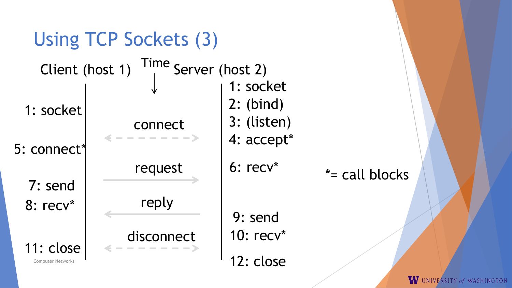![](_page_20_Figure_0.jpeg)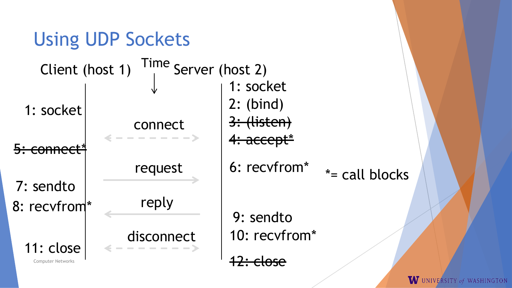![](_page_21_Figure_0.jpeg)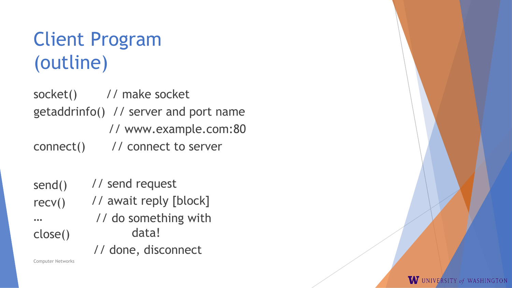### Client Program (outline)

socket() // make socket getaddrinfo() // server and port name // www.example.com:80 connect() // connect to server

send() recv() … close() // send request // await reply [block] // do something with data! // done, disconnect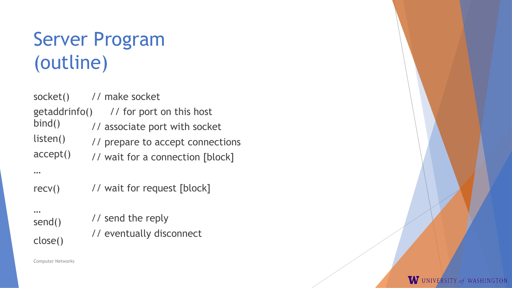## Server Program (outline)

| socket()                | // make socket                                            |
|-------------------------|-----------------------------------------------------------|
| getaddrinfo()<br>bind() | // for port on this host<br>// associate port with socket |
| listen()                | // prepare to accept connections                          |
| accept()                | // wait for a connection [block]                          |
|                         |                                                           |
| recv()                  | // wait for request [block]                               |
| <br>send()              | // send the reply                                         |
|                         | // eventually disconnect                                  |
| close()                 |                                                           |

W UNIVERSITY of WASHINGTON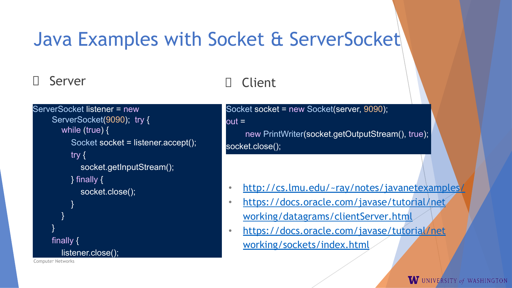### Java Examples with Socket & ServerSocket

#### Server

Computer Networks }

### Client

```
ServerSocket listener = new 
    ServerSocket(9090); try {
       while (true) {
         Socket socket = listener.accept();
         try {
            socket.getInputStream();
         } finally { 
            socket.close();
          }
       }
    }
    finally {
       listener.close();
```
Socket socket = new Socket(server, 9090); out =

new PrintWriter(socket.getOutputStream(), true); socket.close();

- <http://cs.lmu.edu/~ray/notes/javanetexampl>es/
- https://docs.oracle.com/javase/tutorial/net working/datagrams/clientServer.html
- https://docs.oracle.com/javase/tutorial/net working/sockets/index.html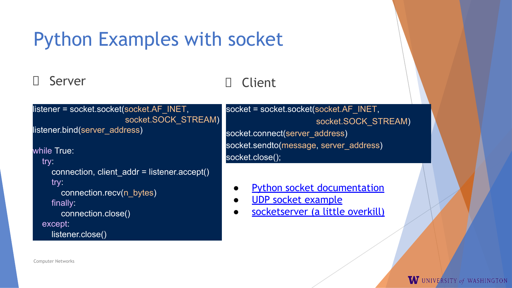### Python Examples with socket

#### Server

### Client

listener = socket.socket(socket.AF\_INET, socket.SOCK\_STREAM)

listener.bind(server\_address)

while True:

try:

```
 connection, client_addr = listener.accept()
try:
```

```
 connection.recv(n_bytes)
finally:
```

```
 connection.close()
```
except:

```
 listener.close()
```
socket = socket.socket(socket.AF\_INET, socket.SOCK\_STREAM) socket.connect(server\_address) socket.sendto(message, server\_address) socket.close();

- [Python socket documentation](https://docs.python.org/3.6/library/socket.html)
- [UDP socket example](https://www.studytonight.com/network-programming-in-python/working-with-udp-sockets)
- [socketserver \(a little overkill\)](https://docs.python.org/3.6/library/socketserver.html)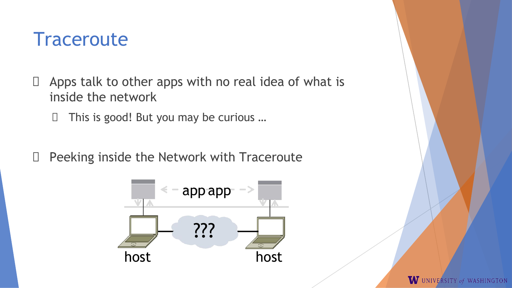### **Traceroute**

- $\Box$  Apps talk to other apps with no real idea of what is inside the network
	- $\Box$  This is good! But you may be curious ...
- D Peeking inside the Network with Traceroute

![](_page_26_Figure_4.jpeg)

![](_page_26_Picture_5.jpeg)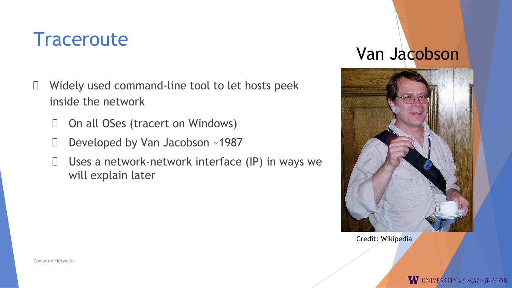### **Traceroute**

- $\Box$  Widely used command-line tool to let hosts peek inside the network
	- On all OSes (tracert on Windows)
	- D Developed by Van Jacobson ~1987
	- $\Box$  Uses a network-network interface (IP) in ways we will explain later

### Van Jacobson

![](_page_27_Picture_6.jpeg)

Credit: Wikipedia

Computer Networks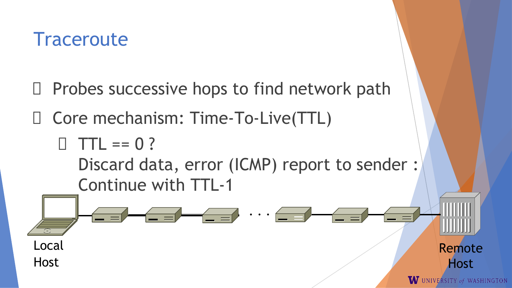### **Traceroute**

- $\Box$  Probes successive hops to find network path
- Core mechanism: Time-To-Live(TTL)
	- $\Box$  TTL == 0 ?
		- Discard data, error (ICMP) report to sender : Continue with TTL-1

. . . WW Local Remote **Host** HostW UNIVERSITY of WASHINGTON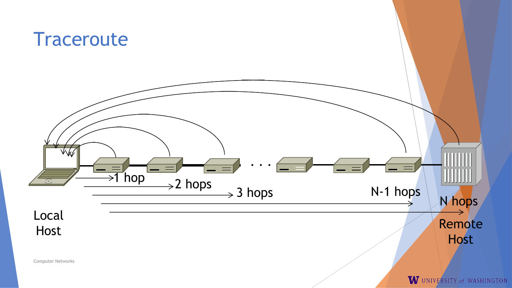![](_page_29_Figure_0.jpeg)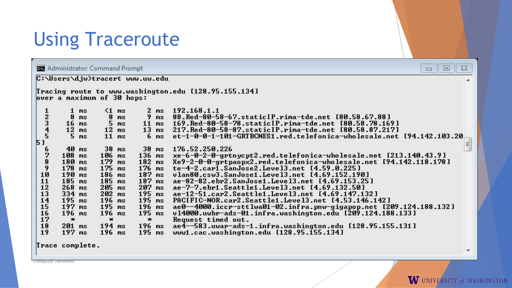### Using Traceroute

 $\Sigma$ **Administrator: Command Prompt**  $\Box$  $\Box$ C:\Users\djw>tracert www.uw.edu ▲ Tracing route to www.washington.edu [128.95.155.134] over a maximum of 30 hops:  $\leq 1$  ms 192.168.1.1  $\frac{1}{2}$  $\frac{2}{3}$  $\frac{4}{5}$  $\mathbf{1}$ ms ms 8  $ms$ 88.Red-80-58-67.staticIP.rima-tde.net [80.58.67.88] 8  $ms$  $ms$ 5 169.Red-80-58-78.staticIP.rima-tde.net [80.58.78.169]  $ms$  $11$  ms  $16$  ms 217. Red-80-58-87. static IP. rima-tde.net [80.58.87.217]  $12$  ms 12  $ms$  $13$  ms  $11$  ms 5 ms  $6<sub>ms</sub>$ et-1-0-0-1-101-GRTBCNES1.red.telefonica-wholesale.net [94.142.103.20  $51$  $\equiv$ 6  $40ms$  $38$  ms  $38$  ms 176.52.250.226 7 106  $136$  ms xe-6-0-2-0-grtnycpt2.red.telefonica-wholesale.net [213.140.43.9]  $108$  ms  $ms$  $\frac{8}{10}$ 180 ms 179  $ms$  $182$  ms Xe9-2-0-0-grtpaopx2.red.telefonica-wholesale.net [94.142.118.178] 178 175  $ms$  $176$  ms te-4-2.carl.SanJose2.Level3.net [4.59.0.225]  $ms$ 190 186  $187$  ms vlan80.csw3.SanJose1.Level3.net [4.69.152.190]  $ms$  $ms$  $11213$ <br> $13415$ <br> $1510$ 185 185  $187$  ms ae-82-82.ebr2.SanJose1.Level3.net [4.69.153.25]  $ms$  $ms$ 268  $205$  ms  $207$  ms ae-7-7.ebr1.Seattle1.Level3.net [4.69.132.50]  $ms$ 334 ms 202  $ms$  $195$  ms ae-12-51.car2.Seattle1.Level3.net [4.69.147.132]  $195$  ms PACIFIC-NOR.car2.Seattle1.Level3.net [4.53.146.142] 196  $ms$  $195$  ms 197  $195$  ms  $ms$  $196$  ms ae0--4000.iccr-sttlwa01-02.infra.pnw-gigapop.net [209.124.188.132] v14000.uwbr-ads-01.infra.washington.edu [209.124.188.133]  $196$  ms 196  $ms$  $195$  ms Request timed out.  $\ast$  $\ast$  $\ast$ 18  $201$  ms  $194$  ms  $196$  ms ae4--583.uwar-ads-1.infra.washington.edu [128.95.155.131] 19  $197$  ms www1.cac.washington.edu [128.95.155.134]  $196$  ms  $195$  ms Trace complete.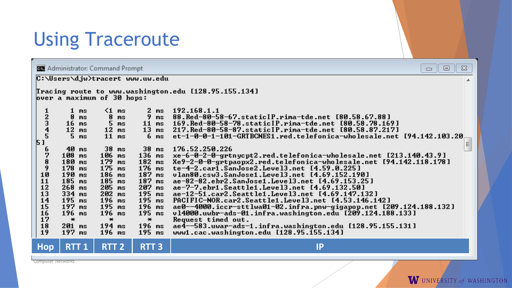### Using Traceroute

 $\Sigma$ **Administrator: Command Prompt**  $\Box$  $\Box$ C:\Users\djw>tracert www.uw.edu ▲ Tracing route to www.washington.edu [128.95.155.134] over a maximum of 30 hops:  $\mathbf{1}$  $\leq 1$  ms  $\mathbf{2}$ 192.168.1.1  $12345$ ms ms 88.Red-80-58-67.staticIP.rima-tde.net [80.58.67.88] 8 8  $ms$  $ms$  $ms$ 5 169.Red-80-58-78.staticIP.rima-tde.net [80.58.78.169]  $ms$  $11$  ms  $16$  ms  $12$  ms 12  $ms$  $13$  ms 217. Red-80-58-87. static IP. rima-tde.net [80.58.87.217] 5 ms  $11$  ms  $6<sub>ms</sub>$ et-1-0-0-1-101-GRTBCNES1.red.telefonica-wholesale.net [94.142.103.20  $51$  $\equiv$ 6  $40ms$  $38$  ms  $38$  ms 176.52.250.226 7 106  $136$  ms xe-6-0-2-0-grtnycpt2.red.telefonica-wholesale.net [213.140.43.9]  $108$  ms  $ms$  $\frac{8}{10}$ 180 ms 179  $182$  ms Xe9-2-0-0-grtpaopx2.red.telefonica-wholesale.net [94.142.118.178]  $ms$ 178 175  $ms$  $176$  ms te-4-2.carl.SanJose2.Level3.net [4.59.0.225]  $ms$ 190 186  $ms$  $187$  ms vlan80.csw3.SanJose1.Level3.net [4.69.152.190]  $ms$  $11213$ <br> $13415$ <br> $1510$ 185  $ms$ 185  $ms$  $187$  ms ae-82-82.ebr2.SanJose1.Level3.net [4.69.153.25] 268  $205$  ms  $207$  ms ae-7-7.ebr1.Seattle1.Level3.net [4.69.132.50]  $ms$ 334 ms 202 195 ms ae-12-51.car2.Seattle1.Level3.net [4.69.147.132]  $ms$ 195 PACIFIC-NOR.car2.Seattle1.Level3.net [4.53.146.142]  $ms$ 196  $ms$  $195$  ms 197  $\mathbf{m}$ s  $195$  ms  $196$  ms ae0--4000.iccr-sttlwa01-02.infra.pnw-gigapop.net [209.124.188.132]  $196$  ms 196  $ms$  $195$  ms ul4000.uwbr-ads-01.infra.washington.edu [209.124.188.133]  $\ast$  $\ast$  $\ast$ Request timed out.  $\frac{18}{19}$ ae4--583.uwar-ads-1.infra.washington.edu [128.95.155.131]  $201$  ms  $194$  ms  $196$  ms  $197$  ms  $196$  ms 195 ms www1.cac.washington.edu [128.95.155.134] **Hop RTT 1 RTT 2 RTT 3 IP**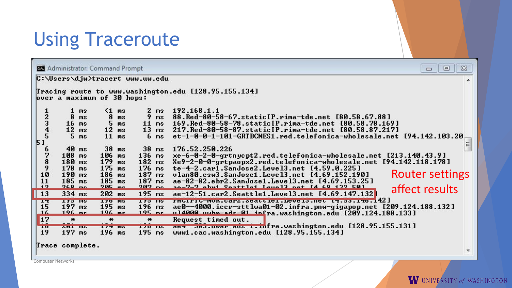### Using Traceroute

| $\Sigma$<br><b>B.</b> Administrator: Command Prompt<br>回<br>$\Box$           |                                                                                                                            |                                                                                                                           |                                                                                                                 |                                                                                                                                                                                                                                                                                                                                                                                                                                                                                                                                                                    |  |  |  |  |
|------------------------------------------------------------------------------|----------------------------------------------------------------------------------------------------------------------------|---------------------------------------------------------------------------------------------------------------------------|-----------------------------------------------------------------------------------------------------------------|--------------------------------------------------------------------------------------------------------------------------------------------------------------------------------------------------------------------------------------------------------------------------------------------------------------------------------------------------------------------------------------------------------------------------------------------------------------------------------------------------------------------------------------------------------------------|--|--|--|--|
| C:\Users\djw>tracert www.uw.edu                                              |                                                                                                                            |                                                                                                                           |                                                                                                                 |                                                                                                                                                                                                                                                                                                                                                                                                                                                                                                                                                                    |  |  |  |  |
| Tracing route to www.washington.edu [128.95.155.134]                         |                                                                                                                            |                                                                                                                           |                                                                                                                 |                                                                                                                                                                                                                                                                                                                                                                                                                                                                                                                                                                    |  |  |  |  |
| over a maximum of 30 hops:                                                   |                                                                                                                            |                                                                                                                           |                                                                                                                 |                                                                                                                                                                                                                                                                                                                                                                                                                                                                                                                                                                    |  |  |  |  |
| $\begin{array}{c} 1 \\ 2 \\ 3 \\ 4 \\ 5 \end{array}$<br>51<br>6<br>789<br>10 | 1 <sub>ms</sub><br>8<br>ms<br>$16$ ms<br>$12$ ms<br>5 <sub>ms</sub><br>$40$ ms<br>108 ms<br>180 ms<br>$178$ ms<br>$190$ ms | $\leq 1$ ms<br>8<br>ms<br>5 <sub>ms</sub><br>$12$ ms<br>$11$ ms<br>$38$ ms<br>106 ms<br>179<br>ms<br>$175$ ms<br>$186$ ms | 2 ms<br>9<br>ms<br>11<br>ms<br>13<br>6 <sub>ms</sub><br>$38$ ms<br>$136$ ms<br>$182$ ms<br>$176$ ms<br>$187$ ms | 192.168.1.1<br>88.Red-80-58-67.staticIP.rima-tde.net [80.58.67.88]<br>169.Red-80-58-78.staticIP.rima-tde.net [80.58.78.169]<br>ms 217.Red-80-58-87.staticIP.rima-tde.net [80.58.87.217]<br>et-1-0-0-1-101-GRTBCNES1.red.telefonica-wholesale.net [94.142.103.20<br>$\equiv$<br>176.52.250.226<br>xe-6-0-2-0-grtnycpt2.red.telefonica-wholesale.net [213.140.43.9]<br>Xe9-2-0-0-grtpaopx2.red.telefonica-wholesale.net [94.142.118.178]<br>te-4-2.car1.SanJose2.Level3.net [4.59.0.225]<br><b>Router settings</b><br>vlan80.csw3.SanJose1.Level3.net [4.69.152.190] |  |  |  |  |
| 11<br>12                                                                     | $185$ ms<br>$960 -$                                                                                                        | $185$ ms<br>$20E$ mm                                                                                                      | $\frac{187}{202}$ ms                                                                                            | ae-82-82.ebr2.SanJose1.Level3.net [4.69.153.25]                                                                                                                                                                                                                                                                                                                                                                                                                                                                                                                    |  |  |  |  |
| $\vert$ 13                                                                   | $334$ ms                                                                                                                   | $202$ ms                                                                                                                  |                                                                                                                 | affect results<br>195 ms ae-12-51.car2.Seattle1.Level3.net [4.69.147.132]                                                                                                                                                                                                                                                                                                                                                                                                                                                                                          |  |  |  |  |
| <b>IT</b><br>15<br>ᅭ                                                         | <b>173 IBS</b><br>$197$ ms<br>$106$ mo                                                                                     | <b>TIO HS</b><br>$195$ ms<br>$106$ mo                                                                                     | $196$ ms<br>$10F$ <sub>mo</sub>                                                                                 | 173 WS froifig nuntuary seattle . Developmet 19.33.190.142]<br>ae0--4000.iccr-sttlwa01-02.infra.pnw-gigapop.net [209.124.188.132]<br>ul4000 uubu-ade-01 iefra.washington.edu [209.124.188.133]                                                                                                                                                                                                                                                                                                                                                                     |  |  |  |  |
| 17<br>10<br>19                                                               | $\ast$<br><b>ZUL IIS</b><br>$197$ ms                                                                                       | $\ast$<br><b>TYPE US</b><br>$196$ ms                                                                                      | $\ast$<br><b>170 BS</b><br>$195$ ms                                                                             | Request timed out.<br>aei 565.uwar aus i.infra.washington.edu [128.95.155.131]<br>www1.cac.washington.edu [128.95.155.134]                                                                                                                                                                                                                                                                                                                                                                                                                                         |  |  |  |  |
|                                                                              |                                                                                                                            |                                                                                                                           |                                                                                                                 |                                                                                                                                                                                                                                                                                                                                                                                                                                                                                                                                                                    |  |  |  |  |

Trace complete.

**Computer Networks** 

 $\overline{\nabla}$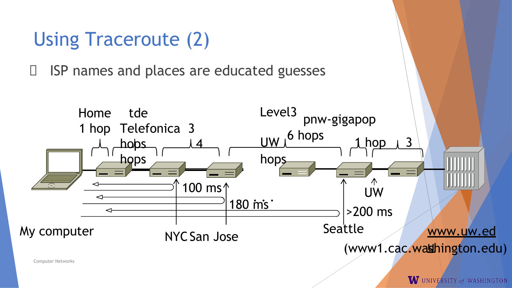![](_page_33_Figure_0.jpeg)